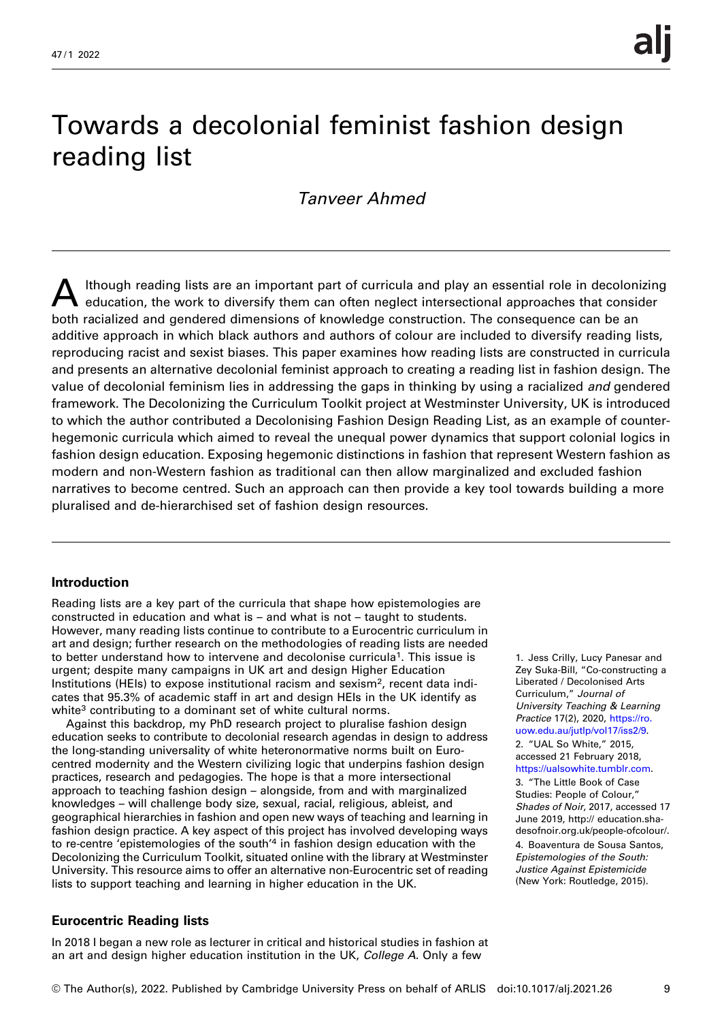# Towards a decolonial feminist fashion design reading list

## Tanveer Ahmed

Ithough reading lists are an important part of curricula and play an essential role in decolonizing education, the work to diversify them can often neglect intersectional approaches that consider both racialized and gendered dimensions of knowledge construction. The consequence can be an additive approach in which black authors and authors of colour are included to diversify reading lists, reproducing racist and sexist biases. This paper examines how reading lists are constructed in curricula and presents an alternative decolonial feminist approach to creating a reading list in fashion design. The value of decolonial feminism lies in addressing the gaps in thinking by using a racialized *and* gendered framework. The Decolonizing the Curriculum Toolkit project at Westminster University, UK is introduced to which the author contributed a Decolonising Fashion Design Reading List, as an example of counterhegemonic curricula which aimed to reveal the unequal power dynamics that support colonial logics in fashion design education. Exposing hegemonic distinctions in fashion that represent Western fashion as modern and non-Western fashion as traditional can then allow marginalized and excluded fashion narratives to become centred. Such an approach can then provide a key tool towards building a more pluralised and de-hierarchised set of fashion design resources.

### Introduction

Reading lists are a key part of the curricula that shape how epistemologies are constructed in education and what is – and what is not – taught to students. However, many reading lists continue to contribute to a Eurocentric curriculum in art and design; further research on the methodologies of reading lists are needed to better understand how to intervene and decolonise curricula1. This issue is urgent; despite many campaigns in UK art and design Higher Education Institutions (HEIs) to expose institutional racism and sexism<sup>2</sup>, recent data indicates that 95.3% of academic staff in art and design HEIs in the UK identify as white<sup>3</sup> contributing to a dominant set of white cultural norms.

Against this backdrop, my PhD research project to pluralise fashion design education seeks to contribute to decolonial research agendas in design to address the long-standing universality of white heteronormative norms built on Eurocentred modernity and the Western civilizing logic that underpins fashion design practices, research and pedagogies. The hope is that a more intersectional approach to teaching fashion design – alongside, from and with marginalized knowledges – will challenge body size, sexual, racial, religious, ableist, and geographical hierarchies in fashion and open new ways of teaching and learning in fashion design practice. A key aspect of this project has involved developing ways to re-centre 'epistemologies of the south'<sup>4</sup> in fashion design education with the Decolonizing the Curriculum Toolkit, situated online with the library at Westminster University. This resource aims to offer an alternative non-Eurocentric set of reading lists to support teaching and learning in higher education in the UK.

### Eurocentric Reading lists

In 2018 I began a new role as lecturer in critical and historical studies in fashion at an art and design higher education institution in the UK, College A. Only a few

1. Jess Crilly, Lucy Panesar and Zey Suka-Bill, "Co-constructing a Liberated / Decolonised Arts Curriculum," Journal of University Teaching & Learning Practice 17(2), 2020, [https://ro.](https://ro.uow.edu.au/jutlp/vol17/iss2/9) [uow.edu.au/jutlp/vol17/iss2/9](https://ro.uow.edu.au/jutlp/vol17/iss2/9). 2. "UAL So White," 2015, accessed 21 February 2018,

## [https://ualsowhite.tumblr.com.](https://ualsowhite.tumblr.com)

3. "The Little Book of Case Studies: People of Colour," Shades of Noir, 2017, accessed 17 June 2019, http:// education.shadesofnoir.org.uk/people-ofcolour/. 4. Boaventura de Sousa Santos, Epistemologies of the South: Justice Against Epistemicide (New York: Routledge, 2015).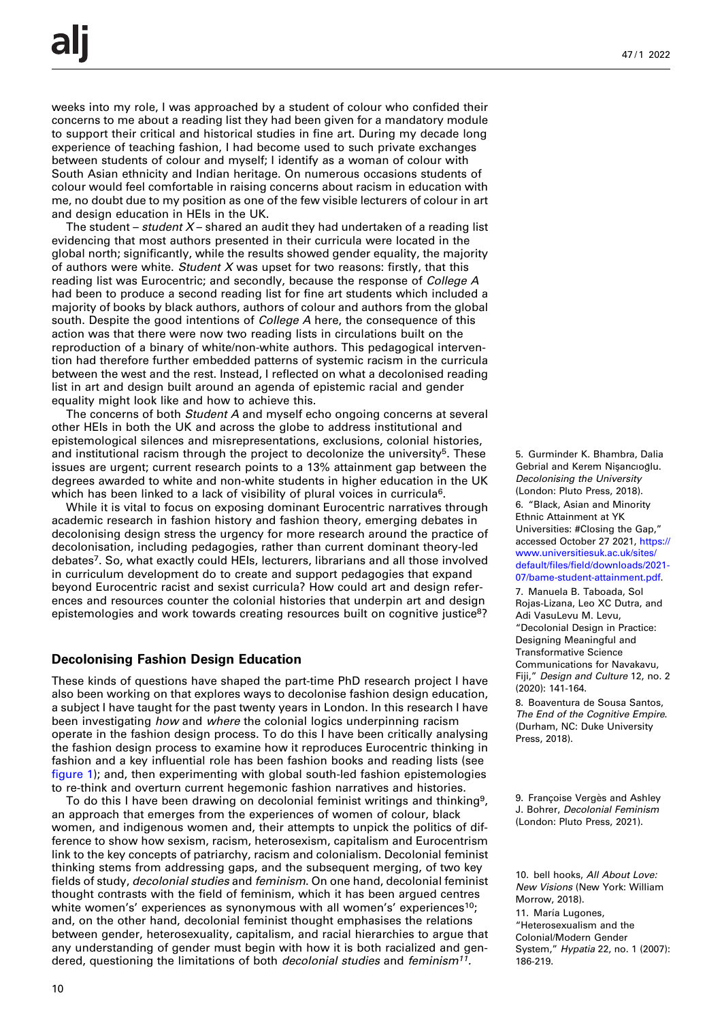weeks into my role, I was approached by a student of colour who confided their concerns to me about a reading list they had been given for a mandatory module to support their critical and historical studies in fine art. During my decade long experience of teaching fashion, I had become used to such private exchanges between students of colour and myself; I identify as a woman of colour with South Asian ethnicity and Indian heritage. On numerous occasions students of colour would feel comfortable in raising concerns about racism in education with me, no doubt due to my position as one of the few visible lecturers of colour in art and design education in HEIs in the UK.

The student – *student X* – shared an audit they had undertaken of a reading list evidencing that most authors presented in their curricula were located in the global north; significantly, while the results showed gender equality, the majority of authors were white. Student X was upset for two reasons: firstly, that this reading list was Eurocentric; and secondly, because the response of College A had been to produce a second reading list for fine art students which included a majority of books by black authors, authors of colour and authors from the global south. Despite the good intentions of *College A* here, the consequence of this action was that there were now two reading lists in circulations built on the reproduction of a binary of white/non-white authors. This pedagogical intervention had therefore further embedded patterns of systemic racism in the curricula between the west and the rest. Instead, I reflected on what a decolonised reading list in art and design built around an agenda of epistemic racial and gender equality might look like and how to achieve this.

The concerns of both *Student A* and myself echo ongoing concerns at several other HEIs in both the UK and across the globe to address institutional and epistemological silences and misrepresentations, exclusions, colonial histories, and institutional racism through the project to decolonize the university<sup>5</sup>. These issues are urgent; current research points to a 13% attainment gap between the degrees awarded to white and non-white students in higher education in the UK which has been linked to a lack of visibility of plural voices in curricula<sup>6</sup>.

While it is vital to focus on exposing dominant Eurocentric narratives through academic research in fashion history and fashion theory, emerging debates in decolonising design stress the urgency for more research around the practice of decolonisation, including pedagogies, rather than current dominant theory-led debates7. So, what exactly could HEIs, lecturers, librarians and all those involved in curriculum development do to create and support pedagogies that expand beyond Eurocentric racist and sexist curricula? How could art and design references and resources counter the colonial histories that underpin art and design epistemologies and work towards creating resources built on cognitive justice<sup>8</sup>?

#### Decolonising Fashion Design Education

These kinds of questions have shaped the part-time PhD research project I have also been working on that explores ways to decolonise fashion design education, a subject I have taught for the past twenty years in London. In this research I have been investigating how and where the colonial logics underpinning racism operate in the fashion design process. To do this I have been critically analysing the fashion design process to examine how it reproduces Eurocentric thinking in fashion and a key influential role has been fashion books and reading lists (see fi[gure 1\)](#page-2-0); and, then experimenting with global south-led fashion epistemologies to re-think and overturn current hegemonic fashion narratives and histories.

To do this I have been drawing on decolonial feminist writings and thinking<sup>9</sup>, an approach that emerges from the experiences of women of colour, black women, and indigenous women and, their attempts to unpick the politics of difference to show how sexism, racism, heterosexism, capitalism and Eurocentrism link to the key concepts of patriarchy, racism and colonialism. Decolonial feminist thinking stems from addressing gaps, and the subsequent merging, of two key fields of study, decolonial studies and feminism. On one hand, decolonial feminist thought contrasts with the field of feminism, which it has been argued centres white women's' experiences as synonymous with all women's' experiences<sup>10</sup>; and, on the other hand, decolonial feminist thought emphasises the relations between gender, heterosexuality, capitalism, and racial hierarchies to argue that any understanding of gender must begin with how it is both racialized and gendered, questioning the limitations of both *decolonial studies* and *feminism<sup>11</sup>.* 

5. Gurminder K. Bhambra, Dalia Gebrial and Kerem Nişancıoğlu. Decolonising the University (London: Pluto Press, 2018). 6. "Black, Asian and Minority

Ethnic Attainment at YK Universities: #Closing the Gap," accessed October 27 2021, [https://](https://www.universitiesuk.ac.uk/sites/default/files/field/downloads/2021-07/bame-student-attainment.pdf) [www.universitiesuk.ac.uk/sites/](https://www.universitiesuk.ac.uk/sites/default/files/field/downloads/2021-07/bame-student-attainment.pdf) default/files/fi[eld/downloads/2021-](https://www.universitiesuk.ac.uk/sites/default/files/field/downloads/2021-07/bame-student-attainment.pdf) [07/bame-student-attainment.pdf.](https://www.universitiesuk.ac.uk/sites/default/files/field/downloads/2021-07/bame-student-attainment.pdf)

7. Manuela B. Taboada, Sol Rojas-Lizana, Leo XC Dutra, and Adi VasuLevu M. Levu, "Decolonial Design in Practice: Designing Meaningful and Transformative Science Communications for Navakavu, Fiji," Design and Culture 12, no. 2 (2020): 141-164.

8. Boaventura de Sousa Santos, The End of the Cognitive Empire. (Durham, NC: Duke University Press, 2018).

Colonial/Modern Gender

<sup>9.</sup> Françoise Vergès and Ashley J. Bohrer, Decolonial Feminism (London: Pluto Press, 2021).

<sup>10.</sup> bell hooks, All About Love: New Visions (New York: William Morrow, 2018).

<sup>11.</sup> María Lugones, "Heterosexualism and the

System," Hypatia 22, no. 1 (2007): 186-219.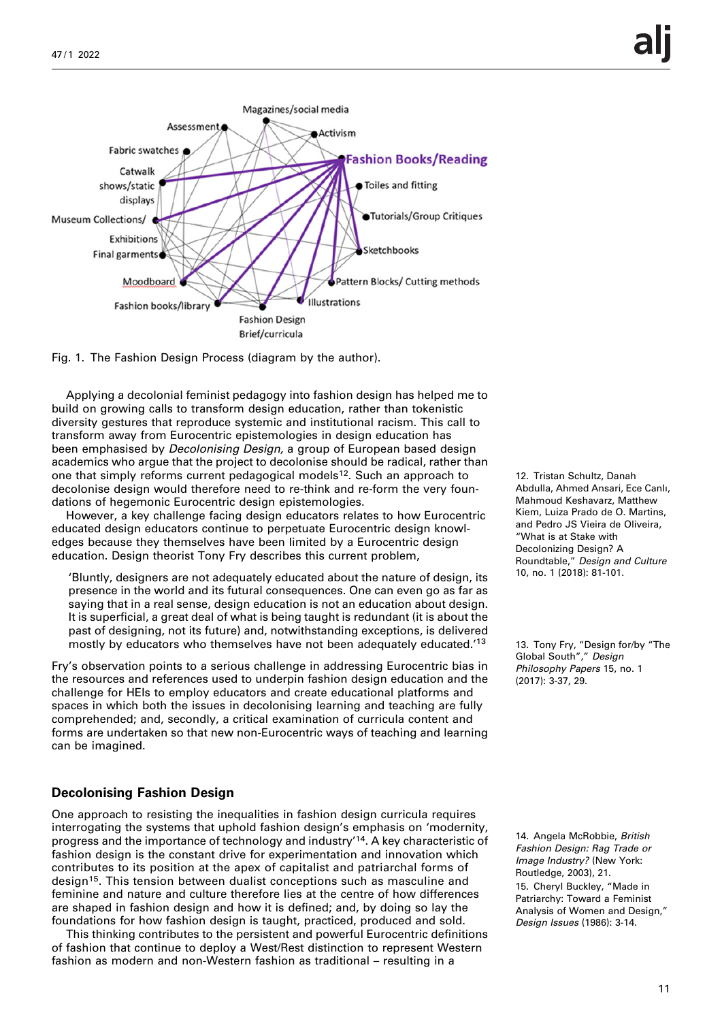<span id="page-2-0"></span>

Fig. 1. The Fashion Design Process (diagram by the author).

Applying a decolonial feminist pedagogy into fashion design has helped me to build on growing calls to transform design education, rather than tokenistic diversity gestures that reproduce systemic and institutional racism. This call to transform away from Eurocentric epistemologies in design education has been emphasised by Decolonising Design, a group of European based design academics who argue that the project to decolonise should be radical, rather than one that simply reforms current pedagogical models<sup>12</sup>. Such an approach to decolonise design would therefore need to re-think and re-form the very foundations of hegemonic Eurocentric design epistemologies.

However, a key challenge facing design educators relates to how Eurocentric educated design educators continue to perpetuate Eurocentric design knowledges because they themselves have been limited by a Eurocentric design education. Design theorist Tony Fry describes this current problem.

'Bluntly, designers are not adequately educated about the nature of design, its presence in the world and its futural consequences. One can even go as far as saying that in a real sense, design education is not an education about design. It is superficial, a great deal of what is being taught is redundant (it is about the past of designing, not its future) and, notwithstanding exceptions, is delivered mostly by educators who themselves have not been adequately educated.' 13

Fry's observation points to a serious challenge in addressing Eurocentric bias in the resources and references used to underpin fashion design education and the challenge for HEIs to employ educators and create educational platforms and spaces in which both the issues in decolonising learning and teaching are fully comprehended; and, secondly, a critical examination of curricula content and forms are undertaken so that new non-Eurocentric ways of teaching and learning can be imagined.

#### Decolonising Fashion Design

One approach to resisting the inequalities in fashion design curricula requires interrogating the systems that uphold fashion design's emphasis on 'modernity, progress and the importance of technology and industry'<sup>14</sup>. A key characteristic of fashion design is the constant drive for experimentation and innovation which contributes to its position at the apex of capitalist and patriarchal forms of design<sup>15</sup>. This tension between dualist conceptions such as masculine and feminine and nature and culture therefore lies at the centre of how differences are shaped in fashion design and how it is defined; and, by doing so lay the foundations for how fashion design is taught, practiced, produced and sold.

This thinking contributes to the persistent and powerful Eurocentric definitions of fashion that continue to deploy a West/Rest distinction to represent Western fashion as modern and non-Western fashion as traditional – resulting in a

12. Tristan Schultz, Danah Abdulla, Ahmed Ansari, Ece Canlı, Mahmoud Keshavarz, Matthew Kiem, Luiza Prado de O. Martins, and Pedro JS Vieira de Oliveira, "What is at Stake with Decolonizing Design? A Roundtable," Design and Culture 10, no. 1 (2018): 81-101.

13. Tony Fry, "Design for/by "The Global South"," Design Philosophy Papers 15, no. 1 (2017): 3-37, 29.

14. Angela McRobbie, British Fashion Design: Rag Trade or Image Industry? (New York: Routledge, 2003), 21. 15. Cheryl Buckley, "Made in Patriarchy: Toward a Feminist Analysis of Women and Design," Design Issues (1986): 3-14.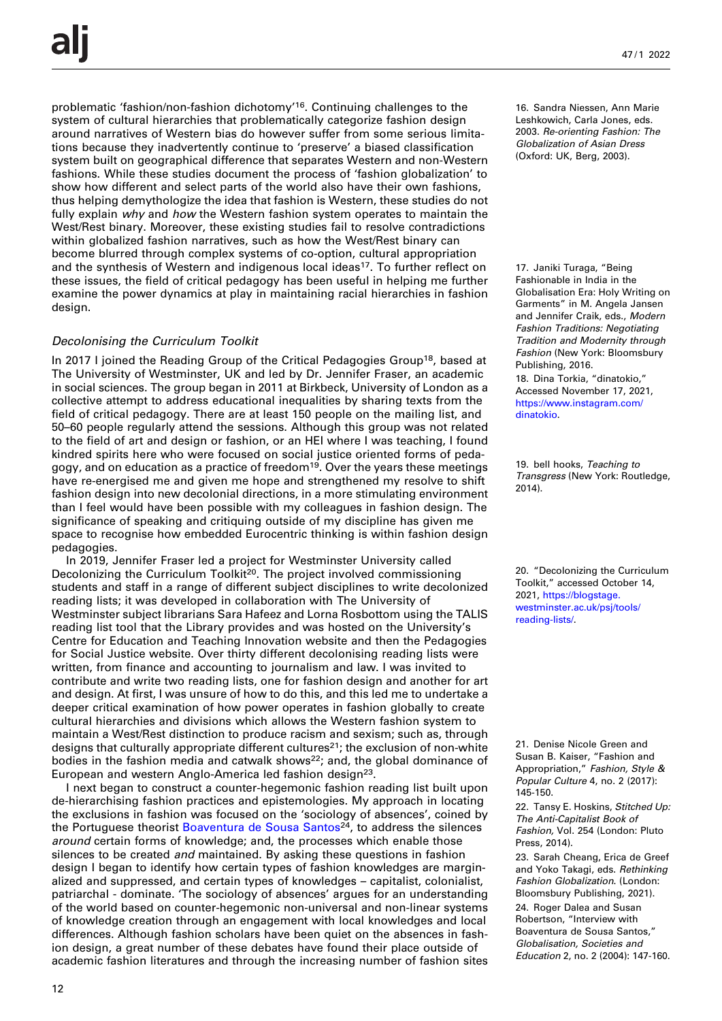problematic 'fashion/non-fashion dichotomy' 16. Continuing challenges to the system of cultural hierarchies that problematically categorize fashion design around narratives of Western bias do however suffer from some serious limitations because they inadvertently continue to 'preserve' a biased classification system built on geographical difference that separates Western and non-Western fashions. While these studies document the process of 'fashion globalization' to show how different and select parts of the world also have their own fashions, thus helping demythologize the idea that fashion is Western, these studies do not fully explain why and how the Western fashion system operates to maintain the West/Rest binary. Moreover, these existing studies fail to resolve contradictions within globalized fashion narratives, such as how the West/Rest binary can become blurred through complex systems of co-option, cultural appropriation and the synthesis of Western and indigenous local ideas<sup>17</sup>. To further reflect on these issues, the field of critical pedagogy has been useful in helping me further examine the power dynamics at play in maintaining racial hierarchies in fashion design.

#### Decolonising the Curriculum Toolkit

In 2017 I joined the Reading Group of the Critical Pedagogies Group<sup>18</sup>, based at The University of Westminster, UK and led by Dr. Jennifer Fraser, an academic in social sciences. The group began in 2011 at Birkbeck, University of London as a collective attempt to address educational inequalities by sharing texts from the field of critical pedagogy. There are at least 150 people on the mailing list, and 50–60 people regularly attend the sessions. Although this group was not related to the field of art and design or fashion, or an HEI where I was teaching, I found kindred spirits here who were focused on social justice oriented forms of pedagogy, and on education as a practice of freedom<sup>19</sup>. Over the years these meetings have re-energised me and given me hope and strengthened my resolve to shift fashion design into new decolonial directions, in a more stimulating environment than I feel would have been possible with my colleagues in fashion design. The significance of speaking and critiquing outside of my discipline has given me space to recognise how embedded Eurocentric thinking is within fashion design pedagogies.

In 2019, Jennifer Fraser led a project for Westminster University called Decolonizing the Curriculum Toolkit<sup>20</sup>. The project involved commissioning students and staff in a range of different subject disciplines to write decolonized reading lists; it was developed in collaboration with The University of Westminster subject librarians Sara Hafeez and Lorna Rosbottom using the TALIS reading list tool that the Library provides and was hosted on the University's Centre for Education and Teaching Innovation website and then the Pedagogies for Social Justice website. Over thirty different decolonising reading lists were written, from finance and accounting to journalism and law. I was invited to contribute and write two reading lists, one for fashion design and another for art and design. At first, I was unsure of how to do this, and this led me to undertake a deeper critical examination of how power operates in fashion globally to create cultural hierarchies and divisions which allows the Western fashion system to maintain a West/Rest distinction to produce racism and sexism; such as, through designs that culturally appropriate different cultures<sup>21</sup>; the exclusion of non-white bodies in the fashion media and catwalk shows<sup>22</sup>; and, the global dominance of European and western Anglo-America led fashion design<sup>23</sup>.

I next began to construct a counter-hegemonic fashion reading list built upon de-hierarchising fashion practices and epistemologies. My approach in locating the exclusions in fashion was focused on the 'sociology of absences', coined by the Portuguese theorist Boaventura de Sousa Santos<sup>24</sup>, to address the silences around certain forms of knowledge; and, the processes which enable those silences to be created and maintained. By asking these questions in fashion design I began to identify how certain types of fashion knowledges are marginalized and suppressed, and certain types of knowledges – capitalist, colonialist, patriarchal - dominate. 'The sociology of absences' argues for an understanding of the world based on counter-hegemonic non-universal and non-linear systems of knowledge creation through an engagement with local knowledges and local differences. Although fashion scholars have been quiet on the absences in fashion design, a great number of these debates have found their place outside of academic fashion literatures and through the increasing number of fashion sites 16. Sandra Niessen, Ann Marie Leshkowich, Carla Jones, eds. 2003. Re-orienting Fashion: The Globalization of Asian Dress (Oxford: UK, Berg, 2003).

17. Janiki Turaga, "Being Fashionable in India in the Globalisation Era: Holy Writing on Garments" in M. Angela Jansen and Jennifer Craik, eds., Modern Fashion Traditions: Negotiating Tradition and Modernity through Fashion (New York: Bloomsbury Publishing, 2016.

18. Dina Torkia, "dinatokio," Accessed November 17, 2021, [https://www.instagram.com/](https://www.instagram.com/dinatokio) [dinatokio.](https://www.instagram.com/dinatokio)

19. bell hooks, Teaching to Transgress (New York: Routledge, 2014).

20. "Decolonizing the Curriculum Toolkit," accessed October 14, 2021, [https://blogstage.](https://blogstage.westminster.ac.uk/psj/tools/reading-lists/) [westminster.ac.uk/psj/tools/](https://blogstage.westminster.ac.uk/psj/tools/reading-lists/) [reading-lists/](https://blogstage.westminster.ac.uk/psj/tools/reading-lists/).

21. Denise Nicole Green and Susan B. Kaiser, "Fashion and Appropriation," Fashion, Style & Popular Culture 4, no. 2 (2017): 145-150.

22. Tansy E. Hoskins, Stitched Up: The Anti-Capitalist Book of Fashion, Vol. 254 (London: Pluto Press, 2014).

23. Sarah Cheang, Erica de Greef and Yoko Takagi, eds. Rethinking Fashion Globalization. (London: Bloomsbury Publishing, 2021).

24. Roger Dalea and Susan Robertson, "Interview with Boaventura de Sousa Santos," Globalisation, Societies and Education 2, no. 2 (2004): 147-160.